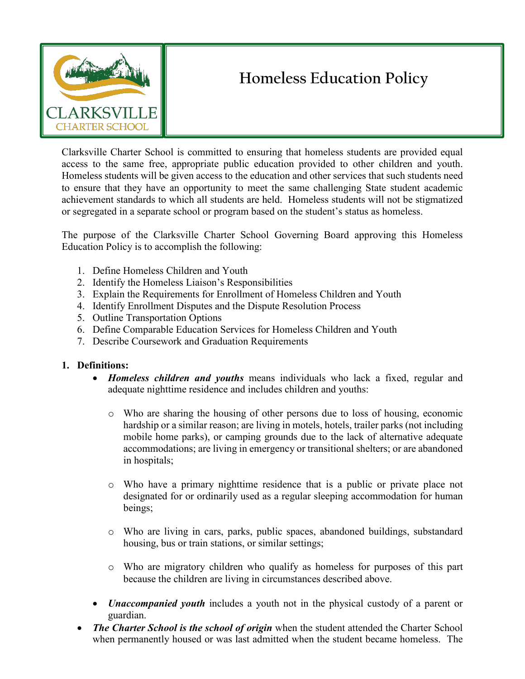

## **Homeless Education Policy**

Clarksville Charter School is committed to ensuring that homeless students are provided equal access to the same free, appropriate public education provided to other children and youth. Homeless students will be given access to the education and other services that such students need to ensure that they have an opportunity to meet the same challenging State student academic achievement standards to which all students are held. Homeless students will not be stigmatized or segregated in a separate school or program based on the student's status as homeless.

The purpose of the Clarksville Charter School Governing Board approving this Homeless Education Policy is to accomplish the following:

- 1. Define Homeless Children and Youth
- 2. Identify the Homeless Liaison's Responsibilities
- 3. Explain the Requirements for Enrollment of Homeless Children and Youth
- 4. Identify Enrollment Disputes and the Dispute Resolution Process
- 5. Outline Transportation Options
- 6. Define Comparable Education Services for Homeless Children and Youth
- 7. Describe Coursework and Graduation Requirements

## **1. Definitions:**

- *Homeless children and youths* means individuals who lack a fixed, regular and adequate nighttime residence and includes children and youths:
	- o Who are sharing the housing of other persons due to loss of housing, economic hardship or a similar reason; are living in motels, hotels, trailer parks (not including mobile home parks), or camping grounds due to the lack of alternative adequate accommodations; are living in emergency or transitional shelters; or are abandoned in hospitals;
	- o Who have a primary nighttime residence that is a public or private place not designated for or ordinarily used as a regular sleeping accommodation for human beings;
	- o Who are living in cars, parks, public spaces, abandoned buildings, substandard housing, bus or train stations, or similar settings;
	- o Who are migratory children who qualify as homeless for purposes of this part because the children are living in circumstances described above.
- *Unaccompanied youth* includes a youth not in the physical custody of a parent or guardian.
- *The Charter School is the school of origin* when the student attended the Charter School when permanently housed or was last admitted when the student became homeless. The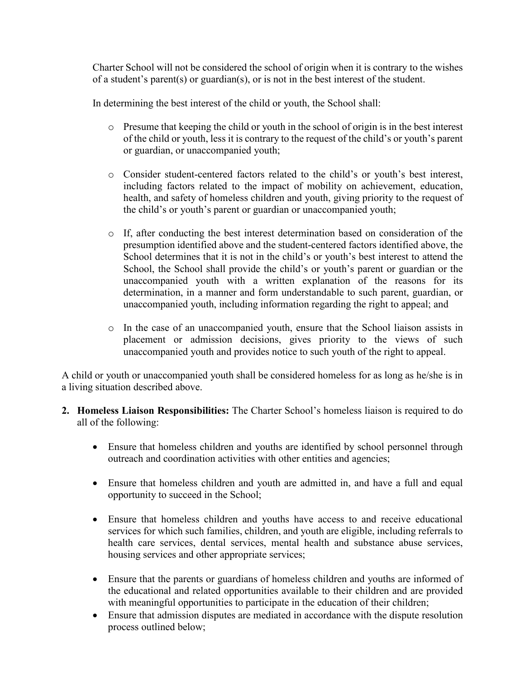Charter School will not be considered the school of origin when it is contrary to the wishes of a student's parent(s) or guardian(s), or is not in the best interest of the student.

In determining the best interest of the child or youth, the School shall:

- o Presume that keeping the child or youth in the school of origin is in the best interest of the child or youth, less it is contrary to the request of the child's or youth's parent or guardian, or unaccompanied youth;
- o Consider student-centered factors related to the child's or youth's best interest, including factors related to the impact of mobility on achievement, education, health, and safety of homeless children and youth, giving priority to the request of the child's or youth's parent or guardian or unaccompanied youth;
- o If, after conducting the best interest determination based on consideration of the presumption identified above and the student-centered factors identified above, the School determines that it is not in the child's or youth's best interest to attend the School, the School shall provide the child's or youth's parent or guardian or the unaccompanied youth with a written explanation of the reasons for its determination, in a manner and form understandable to such parent, guardian, or unaccompanied youth, including information regarding the right to appeal; and
- o In the case of an unaccompanied youth, ensure that the School liaison assists in placement or admission decisions, gives priority to the views of such unaccompanied youth and provides notice to such youth of the right to appeal.

A child or youth or unaccompanied youth shall be considered homeless for as long as he/she is in a living situation described above.

- **2. Homeless Liaison Responsibilities:** The Charter School's homeless liaison is required to do all of the following:
	- Ensure that homeless children and youths are identified by school personnel through outreach and coordination activities with other entities and agencies;
	- Ensure that homeless children and youth are admitted in, and have a full and equal opportunity to succeed in the School;
	- Ensure that homeless children and youths have access to and receive educational services for which such families, children, and youth are eligible, including referrals to health care services, dental services, mental health and substance abuse services, housing services and other appropriate services;
	- Ensure that the parents or guardians of homeless children and youths are informed of the educational and related opportunities available to their children and are provided with meaningful opportunities to participate in the education of their children;
	- Ensure that admission disputes are mediated in accordance with the dispute resolution process outlined below;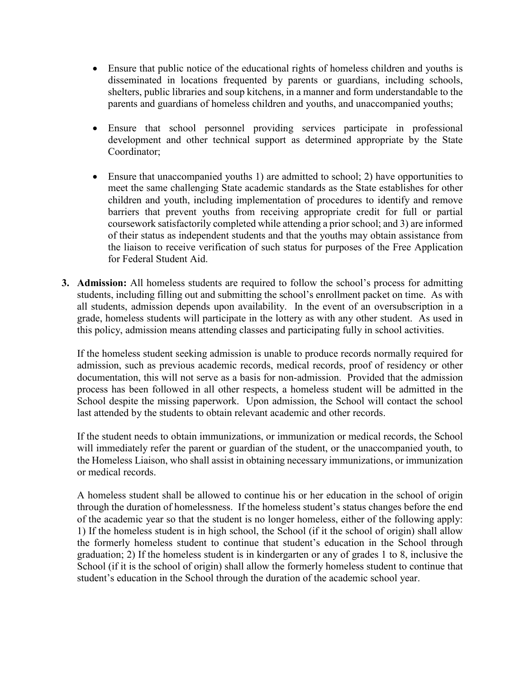- Ensure that public notice of the educational rights of homeless children and youths is disseminated in locations frequented by parents or guardians, including schools, shelters, public libraries and soup kitchens, in a manner and form understandable to the parents and guardians of homeless children and youths, and unaccompanied youths;
- Ensure that school personnel providing services participate in professional development and other technical support as determined appropriate by the State Coordinator;
- Ensure that unaccompanied youths 1) are admitted to school; 2) have opportunities to meet the same challenging State academic standards as the State establishes for other children and youth, including implementation of procedures to identify and remove barriers that prevent youths from receiving appropriate credit for full or partial coursework satisfactorily completed while attending a prior school; and 3) are informed of their status as independent students and that the youths may obtain assistance from the liaison to receive verification of such status for purposes of the Free Application for Federal Student Aid.
- **3. Admission:** All homeless students are required to follow the school's process for admitting students, including filling out and submitting the school's enrollment packet on time. As with all students, admission depends upon availability. In the event of an oversubscription in a grade, homeless students will participate in the lottery as with any other student. As used in this policy, admission means attending classes and participating fully in school activities.

If the homeless student seeking admission is unable to produce records normally required for admission, such as previous academic records, medical records, proof of residency or other documentation, this will not serve as a basis for non-admission. Provided that the admission process has been followed in all other respects, a homeless student will be admitted in the School despite the missing paperwork. Upon admission, the School will contact the school last attended by the students to obtain relevant academic and other records.

If the student needs to obtain immunizations, or immunization or medical records, the School will immediately refer the parent or guardian of the student, or the unaccompanied youth, to the Homeless Liaison, who shall assist in obtaining necessary immunizations, or immunization or medical records.

A homeless student shall be allowed to continue his or her education in the school of origin through the duration of homelessness. If the homeless student's status changes before the end of the academic year so that the student is no longer homeless, either of the following apply: 1) If the homeless student is in high school, the School (if it the school of origin) shall allow the formerly homeless student to continue that student's education in the School through graduation; 2) If the homeless student is in kindergarten or any of grades 1 to 8, inclusive the School (if it is the school of origin) shall allow the formerly homeless student to continue that student's education in the School through the duration of the academic school year.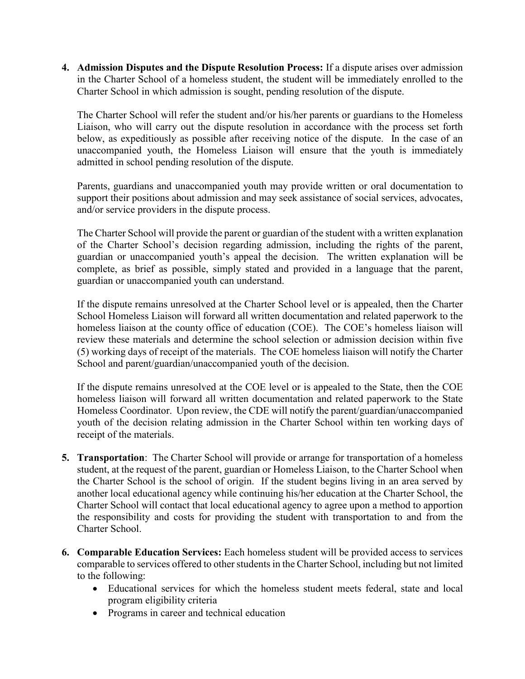**4. Admission Disputes and the Dispute Resolution Process:** If a dispute arises over admission in the Charter School of a homeless student, the student will be immediately enrolled to the Charter School in which admission is sought, pending resolution of the dispute.

The Charter School will refer the student and/or his/her parents or guardians to the Homeless Liaison, who will carry out the dispute resolution in accordance with the process set forth below, as expeditiously as possible after receiving notice of the dispute. In the case of an unaccompanied youth, the Homeless Liaison will ensure that the youth is immediately admitted in school pending resolution of the dispute.

Parents, guardians and unaccompanied youth may provide written or oral documentation to support their positions about admission and may seek assistance of social services, advocates, and/or service providers in the dispute process.

The Charter School will provide the parent or guardian of the student with a written explanation of the Charter School's decision regarding admission, including the rights of the parent, guardian or unaccompanied youth's appeal the decision. The written explanation will be complete, as brief as possible, simply stated and provided in a language that the parent, guardian or unaccompanied youth can understand.

If the dispute remains unresolved at the Charter School level or is appealed, then the Charter School Homeless Liaison will forward all written documentation and related paperwork to the homeless liaison at the county office of education (COE). The COE's homeless liaison will review these materials and determine the school selection or admission decision within five (5) working days of receipt of the materials. The COE homeless liaison will notify the Charter School and parent/guardian/unaccompanied youth of the decision.

If the dispute remains unresolved at the COE level or is appealed to the State, then the COE homeless liaison will forward all written documentation and related paperwork to the State Homeless Coordinator. Upon review, the CDE will notify the parent/guardian/unaccompanied youth of the decision relating admission in the Charter School within ten working days of receipt of the materials.

- **5. Transportation**: The Charter School will provide or arrange for transportation of a homeless student, at the request of the parent, guardian or Homeless Liaison, to the Charter School when the Charter School is the school of origin. If the student begins living in an area served by another local educational agency while continuing his/her education at the Charter School, the Charter School will contact that local educational agency to agree upon a method to apportion the responsibility and costs for providing the student with transportation to and from the Charter School.
- **6. Comparable Education Services:** Each homeless student will be provided access to services comparable to services offered to other students in the Charter School, including but not limited to the following:
	- Educational services for which the homeless student meets federal, state and local program eligibility criteria
	- Programs in career and technical education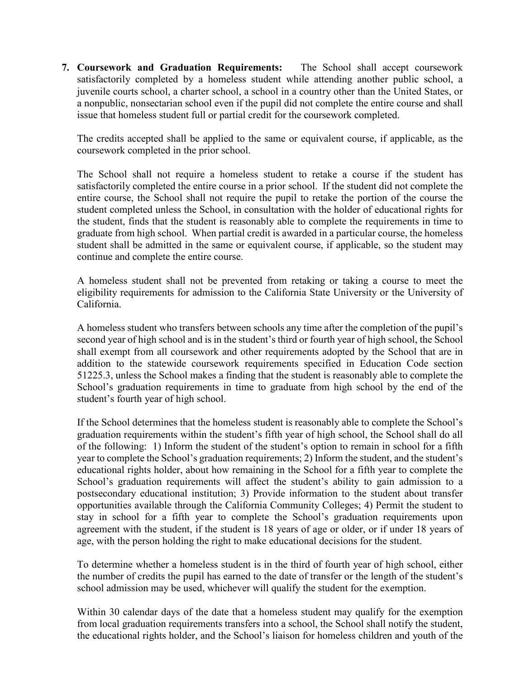**7. Coursework and Graduation Requirements:** The School shall accept coursework satisfactorily completed by a homeless student while attending another public school, a juvenile courts school, a charter school, a school in a country other than the United States, or a nonpublic, nonsectarian school even if the pupil did not complete the entire course and shall issue that homeless student full or partial credit for the coursework completed.

The credits accepted shall be applied to the same or equivalent course, if applicable, as the coursework completed in the prior school.

The School shall not require a homeless student to retake a course if the student has satisfactorily completed the entire course in a prior school. If the student did not complete the entire course, the School shall not require the pupil to retake the portion of the course the student completed unless the School, in consultation with the holder of educational rights for the student, finds that the student is reasonably able to complete the requirements in time to graduate from high school. When partial credit is awarded in a particular course, the homeless student shall be admitted in the same or equivalent course, if applicable, so the student may continue and complete the entire course.

A homeless student shall not be prevented from retaking or taking a course to meet the eligibility requirements for admission to the California State University or the University of California.

A homeless student who transfers between schools any time after the completion of the pupil's second year of high school and is in the student's third or fourth year of high school, the School shall exempt from all coursework and other requirements adopted by the School that are in addition to the statewide coursework requirements specified in Education Code section 51225.3, unless the School makes a finding that the student is reasonably able to complete the School's graduation requirements in time to graduate from high school by the end of the student's fourth year of high school.

If the School determines that the homeless student is reasonably able to complete the School's graduation requirements within the student's fifth year of high school, the School shall do all of the following: 1) Inform the student of the student's option to remain in school for a fifth year to complete the School's graduation requirements; 2) Inform the student, and the student's educational rights holder, about how remaining in the School for a fifth year to complete the School's graduation requirements will affect the student's ability to gain admission to a postsecondary educational institution; 3) Provide information to the student about transfer opportunities available through the California Community Colleges; 4) Permit the student to stay in school for a fifth year to complete the School's graduation requirements upon agreement with the student, if the student is 18 years of age or older, or if under 18 years of age, with the person holding the right to make educational decisions for the student.

To determine whether a homeless student is in the third of fourth year of high school, either the number of credits the pupil has earned to the date of transfer or the length of the student's school admission may be used, whichever will qualify the student for the exemption.

Within 30 calendar days of the date that a homeless student may qualify for the exemption from local graduation requirements transfers into a school, the School shall notify the student, the educational rights holder, and the School's liaison for homeless children and youth of the